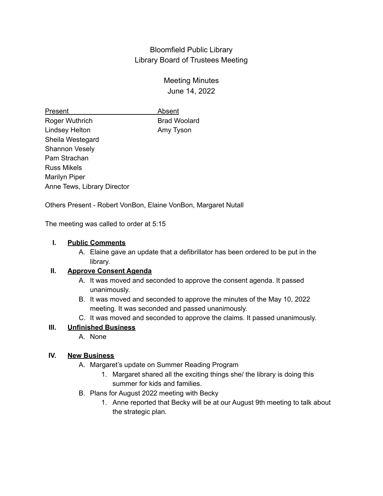## Bloomfield Public Library Library Board of Trustees Meeting

# Meeting Minutes June 14, 2022

Present **Absent** Roger Wuthrich Brad Woolard Lindsey Helton **Amy Tyson** Sheila Westegard Shannon Vesely Pam Strachan Russ Mikels Marilyn Piper Anne Tews, Library Director

Others Present - Robert VonBon, Elaine VonBon, Margaret Nutall

The meeting was called to order at 5:15

### **I. Public Comments**

A. Elaine gave an update that a defibrillator has been ordered to be put in the library.

### **II. Approve Consent Agenda**

- A. It was moved and seconded to approve the consent agenda. It passed unanimously.
- B. It was moved and seconded to approve the minutes of the May 10, 2022 meeting. It was seconded and passed unanimously.
- C. It was moved and seconded to approve the claims. It passed unanimously.

### **III. Unfinished Business**

A. None

### **IV. New Business**

- A. Margaret's update on Summer Reading Program
	- 1. Margaret shared all the exciting things she/ the library is doing this summer for kids and families.
- B. Plans for August 2022 meeting with Becky
	- 1. Anne reported that Becky will be at our August 9th meeting to talk about the strategic plan.